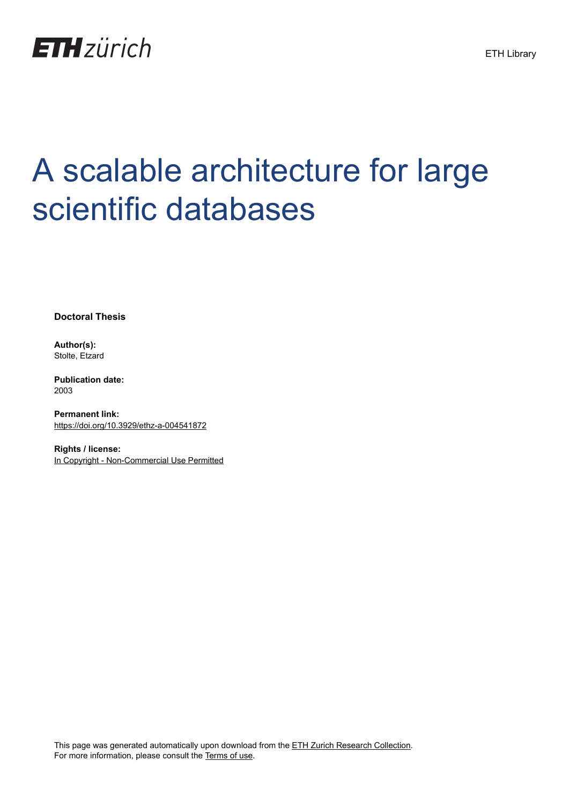

## A scalable architecture for large scientific databases

**Doctoral Thesis**

**Author(s):** Stolte, Etzard

**Publication date:** 2003

**Permanent link:** <https://doi.org/10.3929/ethz-a-004541872>

**Rights / license:** [In Copyright - Non-Commercial Use Permitted](http://rightsstatements.org/page/InC-NC/1.0/)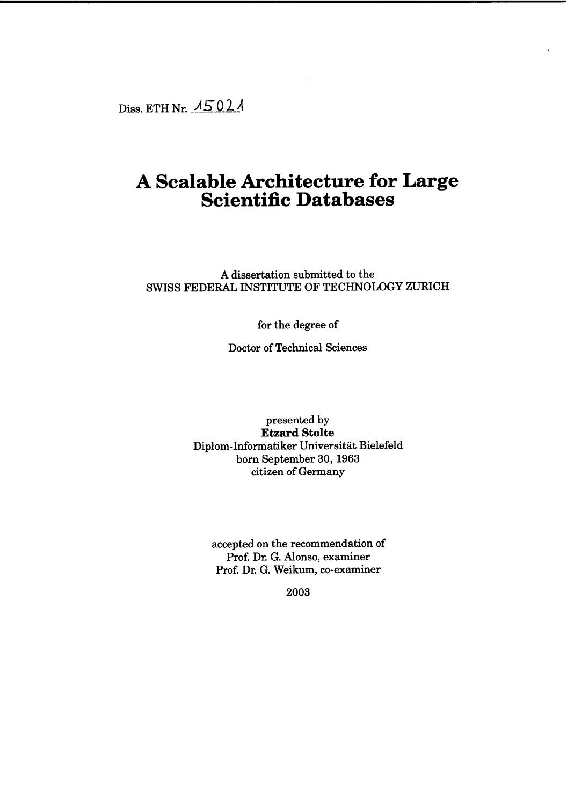Diss. ETH Nr.  $\overline{15021}$ 

## **A Scalable Architecture for Large Scientific Databases**

A dissertation submitted to the SWISS FEDERAL INSTITUTE OF TECHNOLOGY ZURICH

for the degree of

Doctor of Technical Seiences

presented by **Etzard Stolte** Diplom-Informatiker Universität Bielefeld born September 30, 1963 citizen of Germany

accepted on the recommendation of Prof. Dr. G. Alonso, examiner Prof. Dr. G. Weikum, co-examiner

2003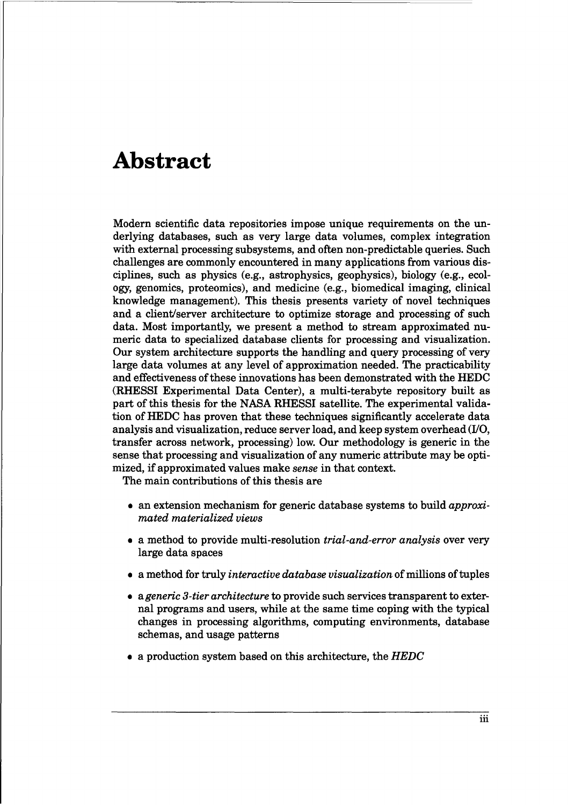## **Abstract**

Modern scientific data repositories impose unique requirements on the underlying databases, such as very large data volumes, complex integration with external processing subsystems, and often non-predictable queries. Such challenges are commonly encountered in many applications from various disciplines, such as physics (e.g., astrophysics, geophysics), biology (e.g., ecology, genomics, proteomics), and medicine (e.g., biomedical imaging, clinical knowledge management). This thesis presents variety of novel techniques and a dient/server architecture to optimize storage and processing of such data. Most importantly, we present a method to stream approximated numeric data to specialized database clients for processing and visualization. Dur system architecture supports the handling and query processing of very large data volumes at any level of approximation needed. The practicability and effectiveness ofthese innovations has been demonstrated with the HEDC (RHESSI Experimental Data Center), a multi-terabyte repository built as part of this thesis for the NASA RHESSI satellite. The experimental validation of HEDC has proven that these techniques significantly accelerate data analysis and visualization, reduce server load, and keep system overhead (l/O, transfer across network, processing) low. Dur methodology is generic in the sense that processing and visualization of any numeric attribute may be optimized, if approximated values make *sense* in that context.

The main contributions of this thesis are

- an extension mechanism for generic database systems to build *approximated materialized views*
- a method to provide multi-resolution *trial-and-error analysis* over very large data spaces
- a method for truly *interactive database visualization* of millions oftuples
- *• ageneric S-tier architecture* to provide such servicestransparent to external programs and users, while at the same time coping with the typical changes in processing algorithms, computing environments, database schemas, and usage patterns
- $\bullet$  a production system based on this architecture, the HEDC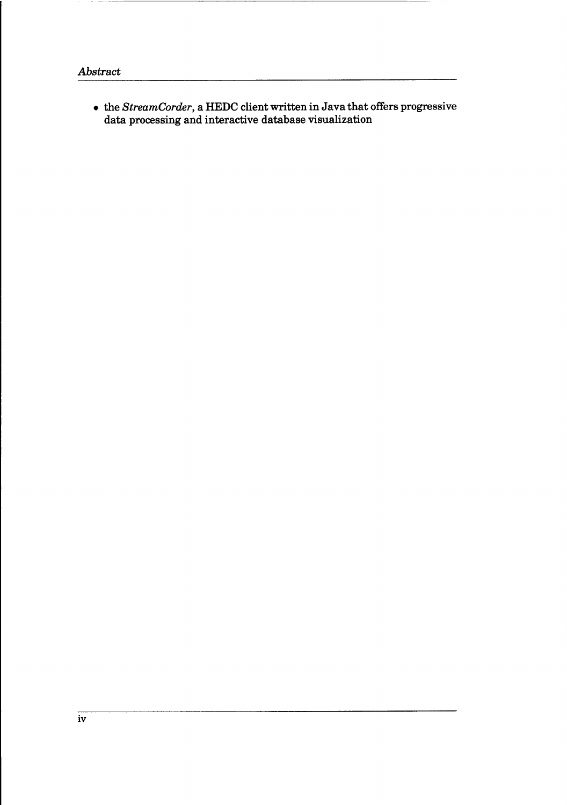• the *StreamCorder*, a HEDC client written in Java that offers progressive data processing and interactive database visualization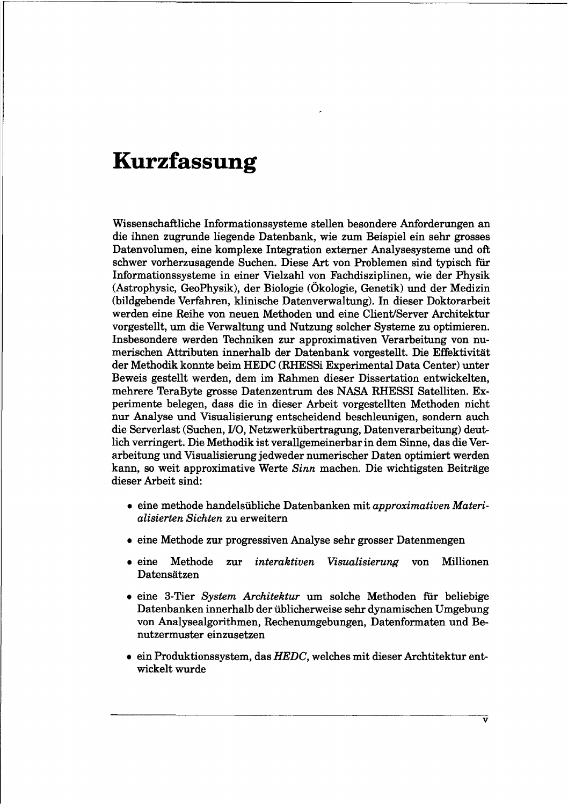## **Kurzfassung**

Wissenschaftliche Informationssysteme stellen besondere Anforderungen an die ihnen zugrunde liegende Datenbank, wie zum Beispiel ein sehr grosses Datenvolumen, eine komplexe Integration externer Analysesysteme und oft schwer vorherzusagende Suchen. Diese Art von Problemen sind typisch für Informationssysteme in einer Vielzahl von Fachdisziplinen, wie der Physik (Astrophysic, GeoPhysik), der Biologie (Ökologie, Genetik) und der Medizin (bildgebende Verfahren, klinische Datenverwaltung). In dieser Doktorarbeit werden eine Reihe von neuen Methoden und eine Client/Server Architektur vorgestellt, um die Verwaltung und Nutzung solcher Systeme zu optimieren. Insbesondere werden Techniken zur approximativen Verarbeitung von numerischen Attributen innerhalb der Datenbank vorgestellt. Die Effektivität der Methodik konnte beim HEDC (RHESSi Experimental Data Center) unter Beweis gestellt werden, dem im Rahmen dieser Dissertation entwickelten, mehrere TeraByte grosse Datenzentrum des NASA RHESSI Satelliten. Experimente belegen, dass die in dieser Arbeit vorgestellten Methoden nicht nur Analyse und Visualisierung entscheidend beschleunigen, sondern auch die Serverlast (Suchen, I10, Netzwerkübertragung, Datenverarbeitung) deutlich verringert. Die Methodik ist verallgemeinerbarin dem Sinne, das die Verarbeitung und Visualisierung jedweder numerischer Daten optimiert werden kann, so weit approximative Werte *Sinn* machen. Die wichtigsten Beiträge dieser Arbeit sind:

- eine methode handelsübliche Datenbanken mit *approximativen Materialisierten Sichten* zu erweitern
- eine Methode zur progressiven Analyse sehr grosser Datenmengen
- eine Methode zur *interaktiven Visualisierung* von Millionen Datensätzen
- eine 3-Tier *System Architektur* um solche Methoden für beliebige Datenbanken innerhalb der üblicherweise sehr dynamischen Umgebung von Analysealgorithmen, Rechenumgebungen, Datenformaten und Benutzermuster einzusetzen
- $\bullet$  ein Produktionssystem, das HEDC, welches mit dieser Archtitektur entwickelt wurde